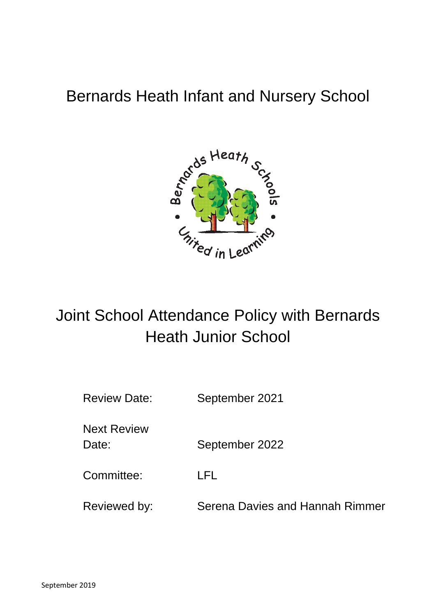# Bernards Heath Infant and Nursery School



# Joint School Attendance Policy with Bernards Heath Junior School

| <b>Review Date:</b>         | September 2021                  |
|-----------------------------|---------------------------------|
| <b>Next Review</b><br>Date: | September 2022                  |
| Committee:                  | LFL                             |
| Reviewed by:                | Serena Davies and Hannah Rimmer |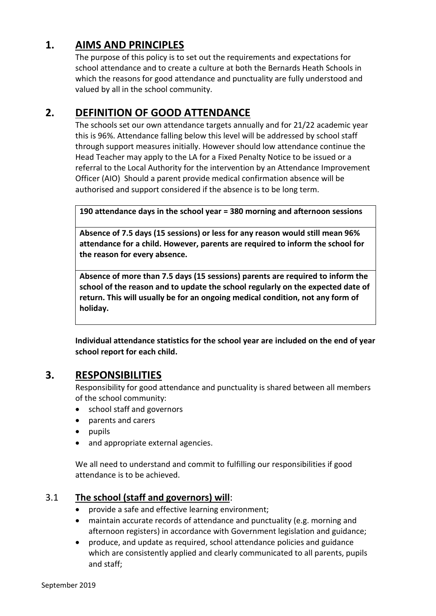# **1. AIMS AND PRINCIPLES**

The purpose of this policy is to set out the requirements and expectations for school attendance and to create a culture at both the Bernards Heath Schools in which the reasons for good attendance and punctuality are fully understood and valued by all in the school community.

# **2. DEFINITION OF GOOD ATTENDANCE**

The schools set our own attendance targets annually and for 21/22 academic year this is 96%. Attendance falling below this level will be addressed by school staff through support measures initially. However should low attendance continue the Head Teacher may apply to the LA for a Fixed Penalty Notice to be issued or a referral to the Local Authority for the intervention by an Attendance Improvement Officer (AIO) Should a parent provide medical confirmation absence will be authorised and support considered if the absence is to be long term.

**190 attendance days in the school year = 380 morning and afternoon sessions**

**Absence of 7.5 days (15 sessions) or less for any reason would still mean 96% attendance for a child. However, parents are required to inform the school for the reason for every absence.**

**Absence of more than 7.5 days (15 sessions) parents are required to inform the school of the reason and to update the school regularly on the expected date of return. This will usually be for an ongoing medical condition, not any form of holiday.**

**Individual attendance statistics for the school year are included on the end of year school report for each child.** 

# **3. RESPONSIBILITIES**

Responsibility for good attendance and punctuality is shared between all members of the school community:

- school staff and governors
- parents and carers
- $\bullet$  pupils
- and appropriate external agencies.

We all need to understand and commit to fulfilling our responsibilities if good attendance is to be achieved.

# 3.1 **The school (staff and governors) will**:

- provide a safe and effective learning environment;
- maintain accurate records of attendance and punctuality (e.g. morning and afternoon registers) in accordance with Government legislation and guidance;
- produce, and update as required, school attendance policies and guidance which are consistently applied and clearly communicated to all parents, pupils and staff;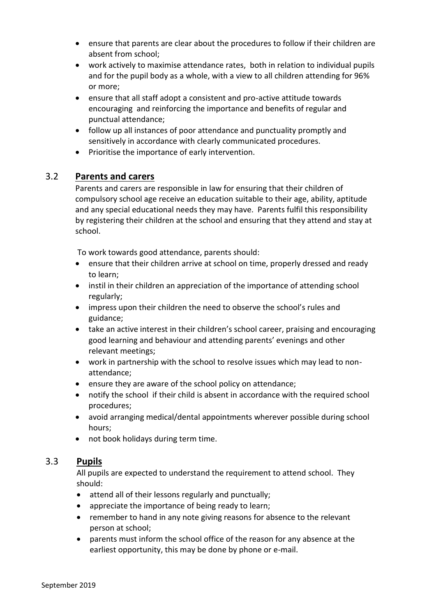- ensure that parents are clear about the procedures to follow if their children are absent from school;
- work actively to maximise attendance rates, both in relation to individual pupils and for the pupil body as a whole, with a view to all children attending for 96% or more;
- ensure that all staff adopt a consistent and pro-active attitude towards encouraging and reinforcing the importance and benefits of regular and punctual attendance;
- follow up all instances of poor attendance and punctuality promptly and sensitively in accordance with clearly communicated procedures.
- Prioritise the importance of early intervention.

## 3.2 **Parents and carers**

Parents and carers are responsible in law for ensuring that their children of compulsory school age receive an education suitable to their age, ability, aptitude and any special educational needs they may have. Parents fulfil this responsibility by registering their children at the school and ensuring that they attend and stay at school.

To work towards good attendance, parents should:

- ensure that their children arrive at school on time, properly dressed and ready to learn;
- instil in their children an appreciation of the importance of attending school regularly;
- impress upon their children the need to observe the school's rules and guidance;
- take an active interest in their children's school career, praising and encouraging good learning and behaviour and attending parents' evenings and other relevant meetings;
- work in partnership with the school to resolve issues which may lead to nonattendance;
- ensure they are aware of the school policy on attendance;
- notify the school if their child is absent in accordance with the required school procedures;
- avoid arranging medical/dental appointments wherever possible during school hours;
- not book holidays during term time.

## 3.3 **Pupils**

All pupils are expected to understand the requirement to attend school. They should:

- attend all of their lessons regularly and punctually;
- appreciate the importance of being ready to learn;
- remember to hand in any note giving reasons for absence to the relevant person at school;
- parents must inform the school office of the reason for any absence at the earliest opportunity, this may be done by phone or e-mail.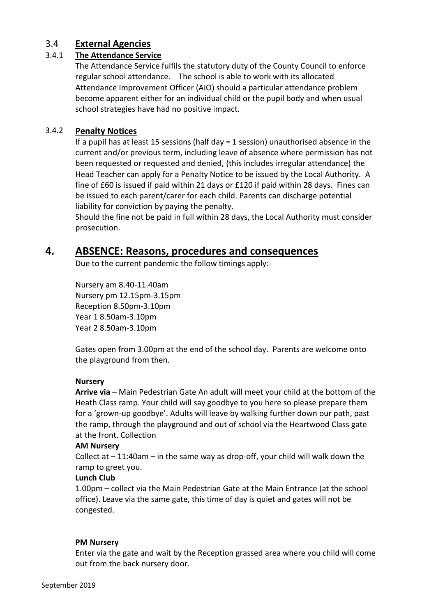### 3.4 **External Agencies**

### 3.4.1 **The Attendance Service**

The Attendance Service fulfils the statutory duty of the County Council to enforce regular school attendance. The school is able to work with its allocated Attendance Improvement Officer (AIO) should a particular attendance problem become apparent either for an individual child or the pupil body and when usual school strategies have had no positive impact.

### 3.4.2 **Penalty Notices**

If a pupil has at least 15 sessions (half day = 1 session) unauthorised absence in the current and/or previous term, including leave of absence where permission has not been requested or requested and denied, (this includes irregular attendance) the Head Teacher can apply for a Penalty Notice to be issued by the Local Authority. A fine of £60 is issued if paid within 21 days or £120 if paid within 28 days. Fines can be issued to each parent/carer for each child. Parents can discharge potential liability for conviction by paying the penalty.

Should the fine not be paid in full within 28 days, the Local Authority must consider prosecution.

# **4. ABSENCE: Reasons, procedures and consequences**

Due to the current pandemic the follow timings apply:-

Nursery am 8.40-11.40am Nursery pm 12.15pm-3.15pm Reception 8.50pm-3.10pm Year 1 8.50am-3.10pm Year 2 8.50am-3.10pm

Gates open from 3.00pm at the end of the school day. Parents are welcome onto the playground from then.

### **Nursery**

**Arrive via** – Main Pedestrian Gate An adult will meet your child at the bottom of the Heath Class ramp. Your child will say goodbye to you here so please prepare them for a 'grown-up goodbye'. Adults will leave by walking further down our path, past the ramp, through the playground and out of school via the Heartwood Class gate at the front. Collection

### **AM Nursery**

Collect at  $-11:40$ am  $-$  in the same way as drop-off, your child will walk down the ramp to greet you.

### **Lunch Club**

1.00pm – collect via the Main Pedestrian Gate at the Main Entrance (at the school office). Leave via the same gate, this time of day is quiet and gates will not be congested.

### **PM Nursery**

Enter via the gate and wait by the Reception grassed area where you child will come out from the back nursery door.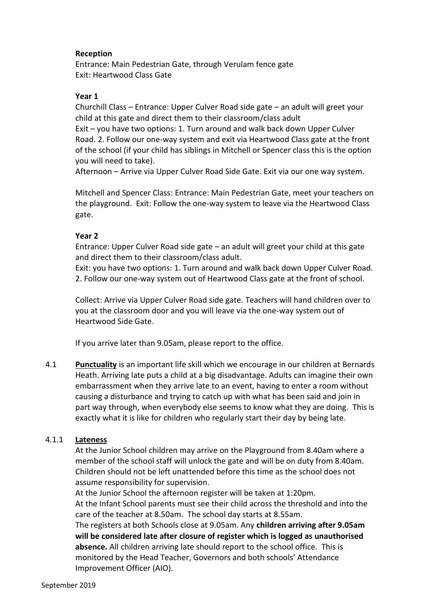### **Reception**

Entrance: Main Pedestrian Gate, through Verulam fence gate Exit: Heartwood Class Gate

### **Year 1**

Churchill Class – Entrance: Upper Culver Road side gate – an adult will greet your child at this gate and direct them to their classroom/class adult

Exit – you have two options: 1. Turn around and walk back down Upper Culver Road. 2. Follow our one-way system and exit via Heartwood Class gate at the front of the school (if your child has siblings in Mitchell or Spencer class this is the option you will need to take).

Afternoon – Arrive via Upper Culver Road Side Gate. Exit via our one way system.

Mitchell and Spencer Class: Entrance: Main Pedestrian Gate, meet your teachers on the playground. Exit: Follow the one-way system to leave via the Heartwood Class gate.

### **Year 2**

Entrance: Upper Culver Road side gate – an adult will greet your child at this gate and direct them to their classroom/class adult.

Exit: you have two options: 1. Turn around and walk back down Upper Culver Road. 2. Follow our one-way system out of Heartwood Class gate at the front of school.

Collect: Arrive via Upper Culver Road side gate. Teachers will hand children over to you at the classroom door and you will leave via the one-way system out of Heartwood Side Gate.

If you arrive later than 9.05am, please report to the office.

4.1 **Punctuality** is an important life skill which we encourage in our children at Bernards Heath. Arriving late puts a child at a big disadvantage. Adults can imagine their own embarrassment when they arrive late to an event, having to enter a room without causing a disturbance and trying to catch up with what has been said and join in part way through, when everybody else seems to know what they are doing. This is exactly what it is like for children who regularly start their day by being late.

#### 4.1.1 **Lateness**

At the Junior School children may arrive on the Playground from 8.40am where a member of the school staff will unlock the gate and will be on duty from 8.40am. Children should not be left unattended before this time as the school does not assume responsibility for supervision.

At the Junior School the afternoon register will be taken at 1:20pm. At the Infant School parents must see their child across the threshold and into the care of the teacher at 8.50am. The school day starts at 8.55am.

The registers at both Schools close at 9.05am. Any **children arriving after 9.05am will be considered late after closure of register which is logged as unauthorised absence.** All children arriving late should report to the school office. This is monitored by the Head Teacher, Governors and both schools' Attendance Improvement Officer (AIO).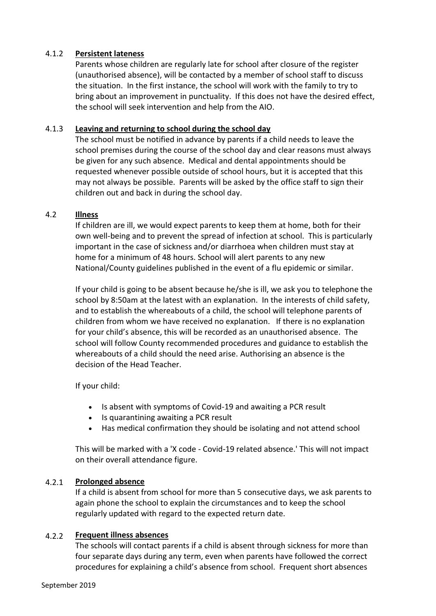### 4.1.2 **Persistent lateness**

Parents whose children are regularly late for school after closure of the register (unauthorised absence), will be contacted by a member of school staff to discuss the situation. In the first instance, the school will work with the family to try to bring about an improvement in punctuality. If this does not have the desired effect, the school will seek intervention and help from the AIO.

### 4.1.3 **Leaving and returning to school during the school day**

The school must be notified in advance by parents if a child needs to leave the school premises during the course of the school day and clear reasons must always be given for any such absence. Medical and dental appointments should be requested whenever possible outside of school hours, but it is accepted that this may not always be possible. Parents will be asked by the office staff to sign their children out and back in during the school day.

### 4.2 **Illness**

If children are ill, we would expect parents to keep them at home, both for their own well-being and to prevent the spread of infection at school. This is particularly important in the case of sickness and/or diarrhoea when children must stay at home for a minimum of 48 hours. School will alert parents to any new National/County guidelines published in the event of a flu epidemic or similar.

If your child is going to be absent because he/she is ill, we ask you to telephone the school by 8:50am at the latest with an explanation. In the interests of child safety, and to establish the whereabouts of a child, the school will telephone parents of children from whom we have received no explanation. If there is no explanation for your child's absence, this will be recorded as an unauthorised absence. The school will follow County recommended procedures and guidance to establish the whereabouts of a child should the need arise. Authorising an absence is the decision of the Head Teacher.

If your child:

- Is absent with symptoms of Covid-19 and awaiting a PCR result
- Is quarantining awaiting a PCR result
- Has medical confirmation they should be isolating and not attend school

This will be marked with a 'X code - Covid-19 related absence.' This will not impact on their overall attendance figure.

### 4.2.1 **Prolonged absence**

If a child is absent from school for more than 5 consecutive days, we ask parents to again phone the school to explain the circumstances and to keep the school regularly updated with regard to the expected return date.

#### 4.2.2 **Frequent illness absences**

The schools will contact parents if a child is absent through sickness for more than four separate days during any term, even when parents have followed the correct procedures for explaining a child's absence from school. Frequent short absences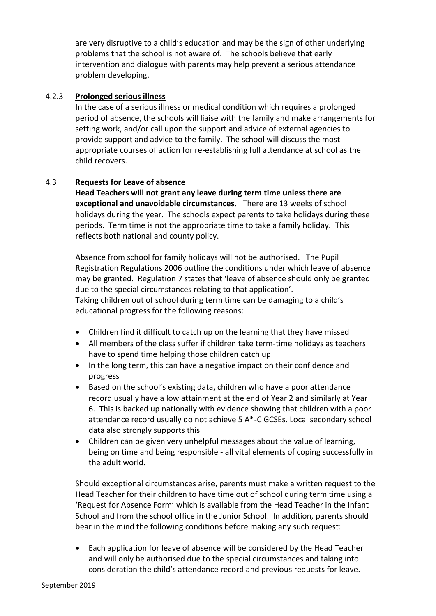are very disruptive to a child's education and may be the sign of other underlying problems that the school is not aware of. The schools believe that early intervention and dialogue with parents may help prevent a serious attendance problem developing.

#### 4.2.3 **Prolonged serious illness**

In the case of a serious illness or medical condition which requires a prolonged period of absence, the schools will liaise with the family and make arrangements for setting work, and/or call upon the support and advice of external agencies to provide support and advice to the family. The school will discuss the most appropriate courses of action for re-establishing full attendance at school as the child recovers.

### 4.3 **Requests for Leave of absence**

**Head Teachers will not grant any leave during term time unless there are exceptional and unavoidable circumstances.** There are 13 weeks of school holidays during the year. The schools expect parents to take holidays during these periods. Term time is not the appropriate time to take a family holiday. This reflects both national and county policy.

Absence from school for family holidays will not be authorised. The Pupil Registration Regulations 2006 outline the conditions under which leave of absence may be granted. Regulation 7 states that 'leave of absence should only be granted due to the special circumstances relating to that application'. Taking children out of school during term time can be damaging to a child's educational progress for the following reasons:

- Children find it difficult to catch up on the learning that they have missed
- All members of the class suffer if children take term-time holidays as teachers have to spend time helping those children catch up
- In the long term, this can have a negative impact on their confidence and progress
- Based on the school's existing data, children who have a poor attendance record usually have a low attainment at the end of Year 2 and similarly at Year 6. This is backed up nationally with evidence showing that children with a poor attendance record usually do not achieve 5 A\*-C GCSEs. Local secondary school data also strongly supports this
- Children can be given very unhelpful messages about the value of learning, being on time and being responsible - all vital elements of coping successfully in the adult world.

Should exceptional circumstances arise, parents must make a written request to the Head Teacher for their children to have time out of school during term time using a 'Request for Absence Form' which is available from the Head Teacher in the Infant School and from the school office in the Junior School. In addition, parents should bear in the mind the following conditions before making any such request:

 Each application for leave of absence will be considered by the Head Teacher and will only be authorised due to the special circumstances and taking into consideration the child's attendance record and previous requests for leave.